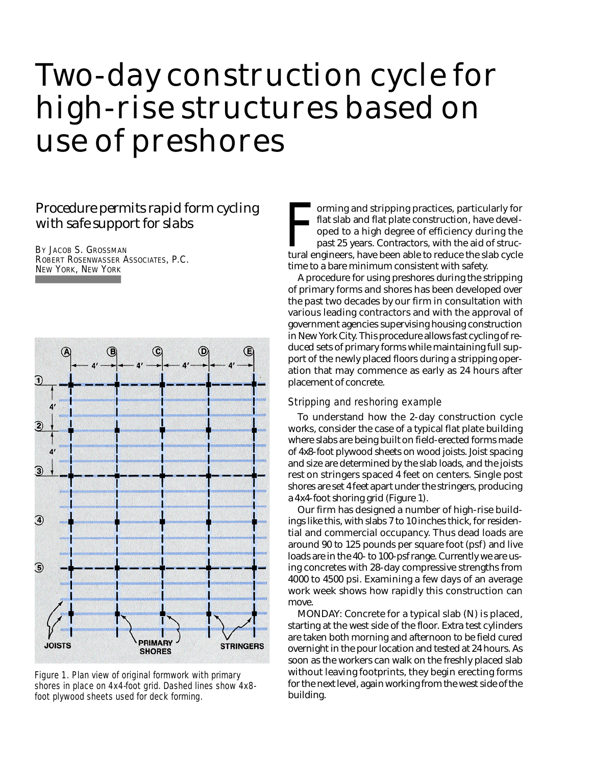# Two-day construction cycle for high-rise structures based on use of preshores

# *Procedure permits rapid form cycling with safe support for slabs*

BY JACOB S. GROSSMAN ROBERT ROSENWASSER ASSOCIATES, P.C. NEW YORK, NEW YORK



Figure 1. Plan view of original formwork with primary shores in place on 4x4-foot grid. Dashed lines show 4x8 foot plywood sheets used for deck forming.

orming and stripping practices, particularly for<br>flat slab and flat plate construction, have devel-<br>oped to a high degree of efficiency during the<br>past 25 years. Contractors, with the aid of struc-<br>tural engineers, have be orming and stripping practices, particularly for flat slab and flat plate construction, have developed to a high degree of efficiency during the past 25 years. Contractors, with the aid of structime to a bare minimum consistent with safety.

A procedure for using preshores during the stripping of primary forms and shores has been developed over the past two decades by our firm in consultation with various leading contractors and with the approval of government agencies supervising housing construction in New York City. This procedure allows fast cycling of reduced sets of primary forms while maintaining full support of the newly placed floors during a stripping operation that may commence as early as 24 hours after placement of concrete.

### Stripping and reshoring example

To understand how the 2-day construction cycle works, consider the case of a typical flat plate building where slabs are being built on field-erected forms made of 4x8-foot plywood sheets on wood joists. Joist spacing and size are determined by the slab loads, and the joists rest on stringers spaced 4 feet on centers. Single post shores are set 4 feet apart under the stringers, producing a  $4x4$ -foot shoring grid (Figure 1).

Our firm has designed a number of high-rise buildings like this, with slabs 7 to 10 inches thick, for residential and commercial occupancy. Thus dead loads are around 90 to 125 pounds per square foot (psf) and live loads are in the 40- to 100-psf range. Currently we are using concretes with 28-day compressive strengths from 4000 to 4500 psi. Examining a few days of an average work week shows how rapidly this construction can move.

*MONDAY:* Concrete for a typical slab (N) is placed, starting at the west side of the floor. Extra test cylinders are taken both morning and afternoon to be field cured overnight in the pour location and tested at 24 hours. As soon as the workers can walk on the freshly placed slab without leaving footprints, they begin erecting forms for the next level, again working from the west side of the building.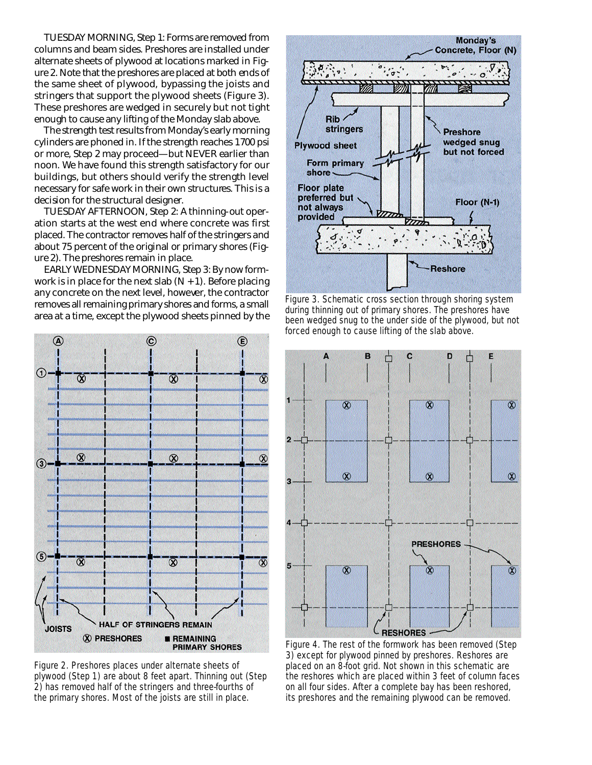*TUESDAY MORNING*, Step 1: Forms are removed from columns and beam sides. Preshores are installed under alternate sheets of plywood at locations marked in Figure 2. Note that the preshores are placed at both ends of the same sheet of plywood, bypassing the joists and stringers that support the plywood sheets (Figure 3). These preshores are wedged in securely but not tight enough to cause any lifting of the Monday slab above.

The strength test results from Monday's early morning cylinders are phoned in. If the strength reaches 1700 psi or more, Step 2 may proceed—but NEVER earlier than noon. We have found this strength satisfactory for our buildings, but others should verify the strength level necessary for safe work in their own structures. This is a decision for the structural designer.

*T U E S D AY AFTERNOON*, Step 2: A thinning-out operation starts at the west end where concrete was first placed. The contractor removes half of the stringers and about 75 percent of the original or primary shores (Figure 2). The preshores remain in place.

*EARLY WEDNESDAY MORNING*, Step 3: By now formwork is in place for the next slab  $(N + 1)$ . Before placing any concrete on the next level, however, the contractor removes all remaining primary shores and forms, a small area at a time, except the plywood sheets pinned by the



Figure 2. Preshores places under alternate sheets of plywood (Step 1) are about 8 feet apart. Thinning out (Step 2) has removed half of the stringers and three-fourths of the primary shores. Most of the joists are still in place.



Figure 3. Schematic cross section through shoring system during thinning out of primary shores. The preshores have been wedged snug to the under side of the plywood, but not forced enough to cause lifting of the slab above.



Figure 4. The rest of the formwork has been removed (Step 3) except for plywood pinned by preshores. Reshores are placed on an 8-foot grid. Not shown in this schematic are the reshores which are placed within 3 feet of column faces on all four sides. After a complete bay has been reshored, its preshores and the remaining plywood can be removed.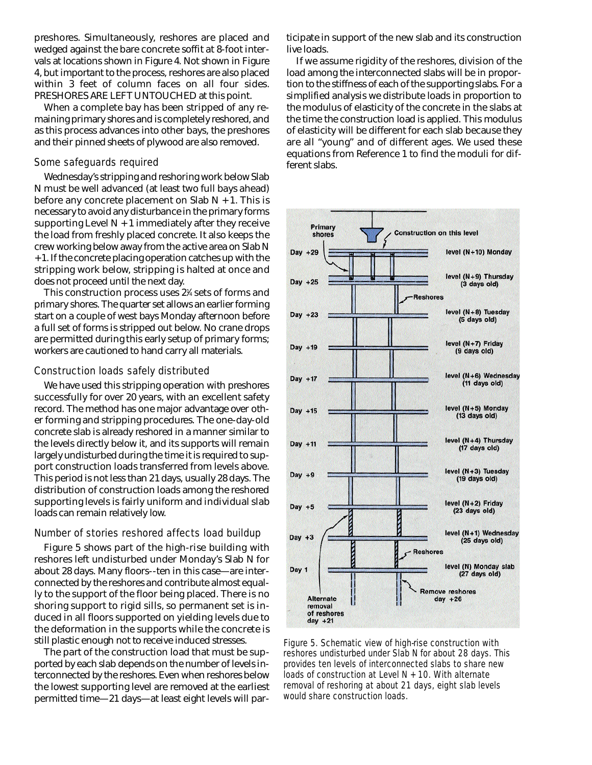preshores. Simultaneously, reshores are placed and wedged against the bare concrete soffit at 8-foot intervals at locations shown in Figure 4. Not shown in Figure 4, but important to the process, reshores are also placed within 3 feet of column faces on all four sides. PRESHORES ARE LEFT UNTOUCHED at this point.

When a complete bay has been stripped of any remaining primary shores and is completely reshored, and as this process advances into other bays, the preshores and their pinned sheets of plywood are also removed.

## Some safeguards required

We dnesday's stripping and reshoring work below Slab N must be well advanced (at least two full bays ahead) before any concrete placement on Slab  $N + 1$ . This is necessary to avoid any disturbance in the primary forms supporting Level  $N + 1$  immediately after they receive the load from freshly placed concrete. It also keeps the crew working below away from the active area on Slab N + 1. If the concrete placing operation catches up with the stripping work below, stripping is halted at once and does not proceed until the next day.

This construction process uses 2<sup>1</sup> ⁄<sup>4</sup> sets of forms and primary shores. The quarter set allows an earlier forming start on a couple of west bays Monday afternoon before a full set of forms is stripped out below. No crane drops are permitted during this early setup of primary forms; workers are cautioned to hand carry all materials.

#### Construction loads safely distributed

We have used this stripping operation with preshores successfully for over 20 years, with an excellent safety record. The method has one major advantage over other forming and stripping procedures. The one-day-old concrete slab is already reshored in a manner similar to the levels directly below it, and its supports will remain largely undisturbed during the time it is required to support construction loads transferred from levels above. This period is not less than 21 days, usually 28 days. The distribution of construction loads among the reshored supporting levels is fairly uniform and individual slab loads can remain relatively low.

#### Number of stories reshored affects load buildup

Figure 5 shows part of the high-rise building with reshores left undisturbed under Monday's Slab N for about 28 days. Many floors--ten in this case—are interconnected by the reshores and contribute almost equally to the support of the floor being placed. There is no shoring support to rigid sills, so permanent set is induced in all floors supported on yielding levels due to the deformation in the supports while the concrete is still plastic enough not to receive induced stresses.

The part of the construction load that must be supported by each slab depends on the number of levels interconnected by the reshores. Even when reshores below the lowest supporting level are removed at the earliest permitted time—21 days—at least eight levels will participate in support of the new slab and its construction live loads.

If we assume rigidity of the reshores, division of the load among the interconnected slabs will be in proportion to the stiffness of each of the supporting slabs. For a simplified analysis we distribute loads in proportion to the modulus of elasticity of the concrete in the slabs at the time the construction load is applied. This modulus of elasticity will be different for each slab because they are all "young" and of different ages. We used these equations from Reference 1 to find the moduli for different slabs.



Figure 5. Schematic view of high-rise construction with reshores undisturbed under Slab N for about 28 days. This provides ten levels of interconnected slabs to share new loads of construction at Level N + 10. With alternate removal of reshoring at about 21 days, eight slab levels would share construction loads.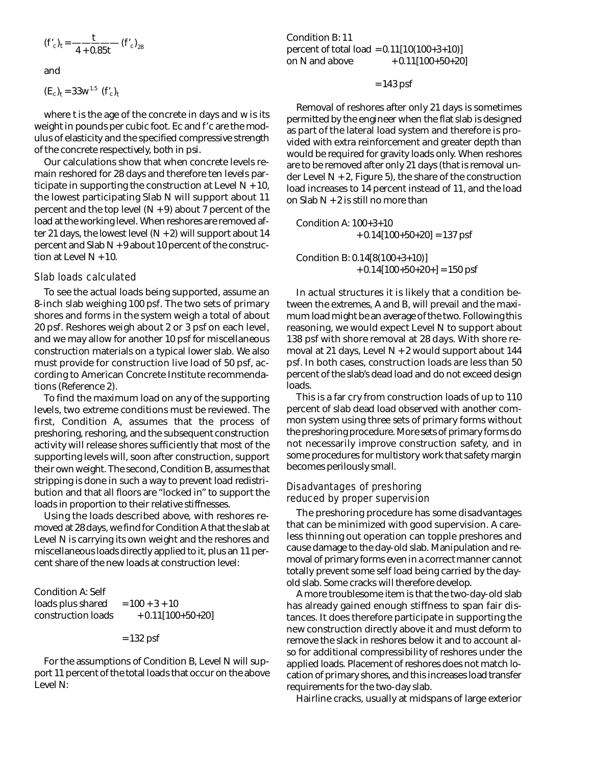$$
(f'_{c})_{t} = \frac{t}{4 + 0.85t} (f'_{c})_{28}
$$

and

$$
(E_c)_t = 33w^{1.5}
$$
  $(f'_c)_t$ 

where t is the age of the concrete in days and w is its weight in pounds per cubic foot. Ec and f'c are the modulus of elasticity and the specified compressive strength of the concrete respectively, both in psi.

Our calculations show that when concrete levels remain reshored for 28 days and therefore ten levels participate in supporting the construction at Level  $N + 10$ , the lowest participating Slab N will support about 11 percent and the top level  $(N + 9)$  about 7 percent of the load at the working level. When reshores are removed after 21 days, the lowest level  $(N + 2)$  will support about 14 percent and Slab  $N + 9$  about 10 percent of the construction at Level  $N + 10$ .

#### Slab loads calculated

To see the actual loads being supported, assume an 8-inch slab weighing 100 psf. The two sets of primary shores and forms in the system weigh a total of about 20 psf. Reshores weigh about 2 or 3 psf on each level, and we may allow for another 10 psf for miscellaneous construction materials on a typical lower slab. We also must provide for construction live load of 50 psf, according to American Concrete Institute recommendations (Reference 2).

To find the maximum load on any of the supporting levels, two extreme conditions must be reviewed. The first, Condition A, assumes that the process of preshoring, reshoring, and the subsequent construction activity will release shores sufficiently that most of the supporting levels will, soon after construction, support their own weight. The second, Condition B, assumes that stripping is done in such a way to prevent load redistribution and that all floors are "locked in" to support the loads in proportion to their relative stiffnesses.

Using the loads described above, with reshores removed at 28 days, we find for Condition A that the slab at Level N is carrying its own weight and the reshores and miscellaneous loads directly applied to it, plus an 11 percent share of the new loads at construction level:

| <b>Condition A: Self</b> |                     |
|--------------------------|---------------------|
| loads plus shared        | $= 100 + 3 + 10$    |
| construction loads       | $+ 0.11[100+50+20]$ |

= 132 psf

For the assumptions of Condition B, Level N will support 11 percent of the total loads that occur on the above Level  $N$ :

Condition B: 11 p ercent of total load =  $0.11[10(100+3+10)]$ on N and above  $+0.11[100+50+20]$ 

= 143 psf

Removal of reshores after only 21 days is sometimes permitted by the engineer when the flat slab is designed as part of the lateral load system and therefore is provided with extra reinforcement and greater depth than would be required for gravity loads only. When reshores are to be removed after only 21 days (that is removal under Level  $N + 2$ , Figure 5), the share of the construction load increases to 14 percent instead of 11, and the load on Slab  $N + 2$  is still no more than

Condition A: 100+3+10  $+ 0.14[100+50+20] = 137$  psf

Condition B: 0.14[8(100+3+10)]  $+ 0.14[100+50+20+] = 150$  psf

In actual structures it is likely that a condition between the extremes, A and B, will prevail and the maximum load might be an average of the two. Following this reasoning, we would expect Level N to support about 138 psf with shore removal at 28 days. With shore removal at 21 days, Level  $N + 2$  would support about 144 psf. In both cases, construction loads are less than 50 percent of the slab's dead load and do not exceed design loads.

This is a far cry from construction loads of up to 110 percent of slab dead load observed with another common system using three sets of primary forms without the preshoring procedure. More sets of primary forms do not necessarily improve construction safety, and in some procedures for multistory work that safety margin becomes perilously small.

### Disadvantages of preshoring reduced by proper supervision

The preshoring procedure has some disadvantages that can be minimized with good supervision. A careless thinning out operation can topple preshores and cause damage to the day-old slab. Manipulation and removal of primary forms even in a correct manner cannot totally prevent some self load being carried by the dayold slab. Some cracks will therefore develop.

A more troublesome item is that the two-day-old slab has already gained enough stiffness to span fair distances. It does therefore participate in supporting the new construction directly above it and must deform to remove the slack in reshores below it and to account also for additional compressibility of reshores under the applied loads. Placement of reshores does not match location of primary shores, and this increases load transfer requirements for the two-day slab.

Hairline cracks, usually at midspans of large exterior